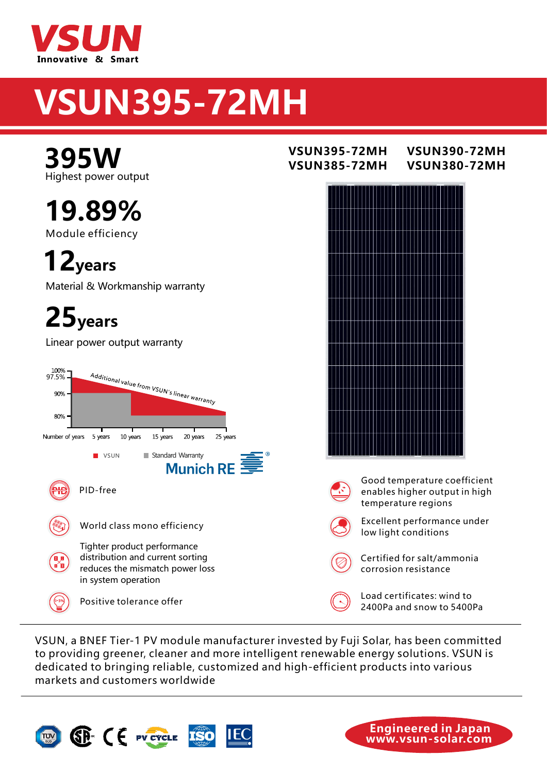

# VSUN395-72MH

Highest power output **395W** VSUN395-72MH

Module efficiency 19.89%

12years

Material & Workmanship warranty

25years

Linear power output warranty



to providing greener, cleaner and more intelligent renewable energy solutions. VSUN is dedicated to bringing reliable, customized and high-efficient products into various markets and customers worldwide.



### VSUN395-72MH VSUN390-72MH **VSUN380-72MH**